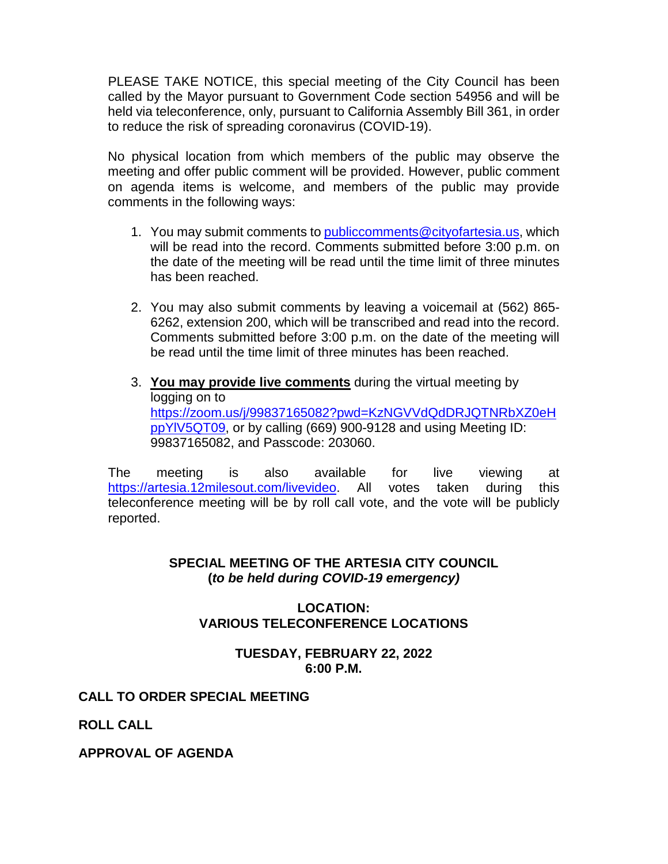PLEASE TAKE NOTICE, this special meeting of the City Council has been called by the Mayor pursuant to Government Code section 54956 and will be held via teleconference, only, pursuant to California Assembly Bill 361, in order to reduce the risk of spreading coronavirus (COVID-19).

No physical location from which members of the public may observe the meeting and offer public comment will be provided. However, public comment on agenda items is welcome, and members of the public may provide comments in the following ways:

- 1. You may submit comments to [publiccomments@cityofartesia.us,](mailto:publiccomments@cityofartesia.us) which will be read into the record. Comments submitted before 3:00 p.m. on the date of the meeting will be read until the time limit of three minutes has been reached.
- 2. You may also submit comments by leaving a voicemail at (562) 865- 6262, extension 200, which will be transcribed and read into the record. Comments submitted before 3:00 p.m. on the date of the meeting will be read until the time limit of three minutes has been reached.
- 3. **You may provide live comments** during the virtual meeting by logging on to [https://zoom.us/j/99837165082?pwd=KzNGVVdQdDRJQTNRbXZ0eH](https://zoom.us/j/99837165082?pwd=KzNGVVdQdDRJQTNRbXZ0eHppYlV5QT09) [ppYlV5QT09,](https://zoom.us/j/99837165082?pwd=KzNGVVdQdDRJQTNRbXZ0eHppYlV5QT09) or by calling (669) 900-9128 and using Meeting ID: 99837165082, and Passcode: 203060.

The meeting is also available for live viewing at [https://artesia.12milesout.com/livevideo.](https://artesia.12milesout.com/livevideo) All votes taken during this teleconference meeting will be by roll call vote, and the vote will be publicly reported.

# **SPECIAL MEETING OF THE ARTESIA CITY COUNCIL (***to be held during COVID-19 emergency)*

# **LOCATION: VARIOUS TELECONFERENCE LOCATIONS**

# **TUESDAY, FEBRUARY 22, 2022 6:00 P.M.**

# **CALL TO ORDER SPECIAL MEETING**

**ROLL CALL** 

**APPROVAL OF AGENDA**